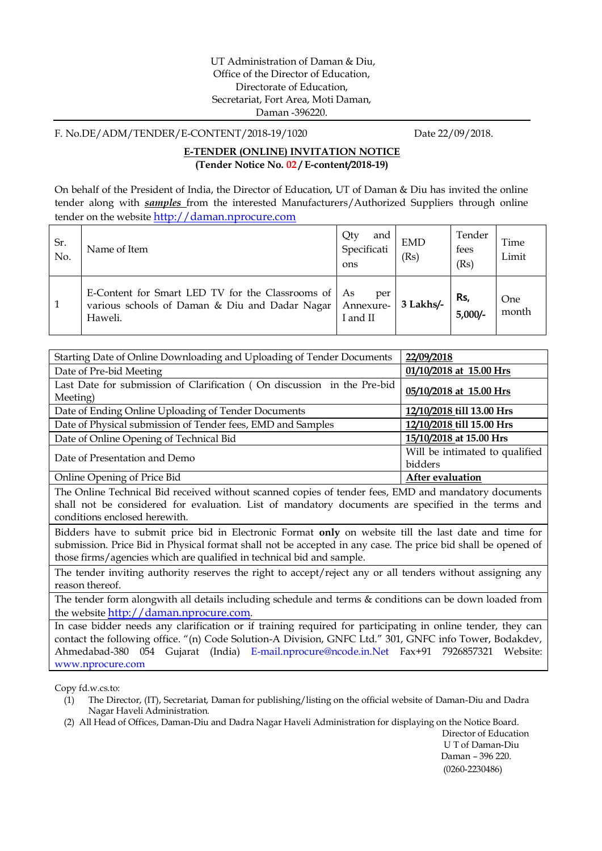F. No.DE/ADM/TENDER/E-CONTENT/2018-19/1020 Date 22/09/2018.

#### **E-TENDER (ONLINE) INVITATION NOTICE (Tender Notice No. 02 / E-content/2018-19)**

On behalf of the President of India, the Director of Education, UT of Daman & Diu has invited the online tender along with *samples* from the interested Manufacturers/Authorized Suppliers through online tender on the website http://daman.nprocure.com

| Sr.<br>No. | Name of Item                                                                                                       | Qty<br>and<br>Specificati<br>ons | <b>EMD</b><br>(Rs) | Tender<br>fees<br>(Rs) | Time<br>Limit |
|------------|--------------------------------------------------------------------------------------------------------------------|----------------------------------|--------------------|------------------------|---------------|
|            | E-Content for Smart LED TV for the Classrooms of   As<br>various schools of Daman & Diu and Dadar Nagar<br>Haweli. | per<br>Annexure-<br>I and II     | 3 Lakhs/-          | Rs,<br>$5,000/-$       | One<br>month  |

| Starting Date of Online Downloading and Uploading of Tender Documents               | 22/09/2018                                |
|-------------------------------------------------------------------------------------|-------------------------------------------|
| Date of Pre-bid Meeting                                                             | 01/10/2018 at 15.00 Hrs                   |
| Last Date for submission of Clarification (On discussion in the Pre-bid<br>Meeting) | 05/10/2018 at 15.00 Hrs                   |
| Date of Ending Online Uploading of Tender Documents                                 | 12/10/2018 till 13.00 Hrs                 |
| Date of Physical submission of Tender fees, EMD and Samples                         | 12/10/2018 till 15.00 Hrs                 |
| Date of Online Opening of Technical Bid                                             | 15/10/2018 at 15.00 Hrs                   |
| Date of Presentation and Demo                                                       | Will be intimated to qualified<br>bidders |
| Online Opening of Price Bid                                                         | After evaluation                          |

The Online Technical Bid received without scanned copies of tender fees, EMD and mandatory documents shall not be considered for evaluation. List of mandatory documents are specified in the terms and conditions enclosed herewith.

Bidders have to submit price bid in Electronic Format **only** on website till the last date and time for submission. Price Bid in Physical format shall not be accepted in any case. The price bid shall be opened of those firms/agencies which are qualified in technical bid and sample.

The tender inviting authority reserves the right to accept/reject any or all tenders without assigning any reason thereof.

The tender form alongwith all details including schedule and terms & conditions can be down loaded from the website http://daman.nprocure.com.

In case bidder needs any clarification or if training required for participating in online tender, they can contact the following office. "(n) Code Solution-A Division, GNFC Ltd." 301, GNFC info Tower, Bodakdev, Ahmedabad-380 054 Gujarat (India) E-mail.nprocure@ncode.in.Net Fax+91 7926857321 Website: www.nprocure.com

Copy fd.w.cs.to:

- (1) The Director, (IT), Secretariat, Daman for publishing/listing on the official website of Daman-Diu and Dadra Nagar Haveli Administration.
- (2) All Head of Offices, Daman-Diu and Dadra Nagar Haveli Administration for displaying on the Notice Board.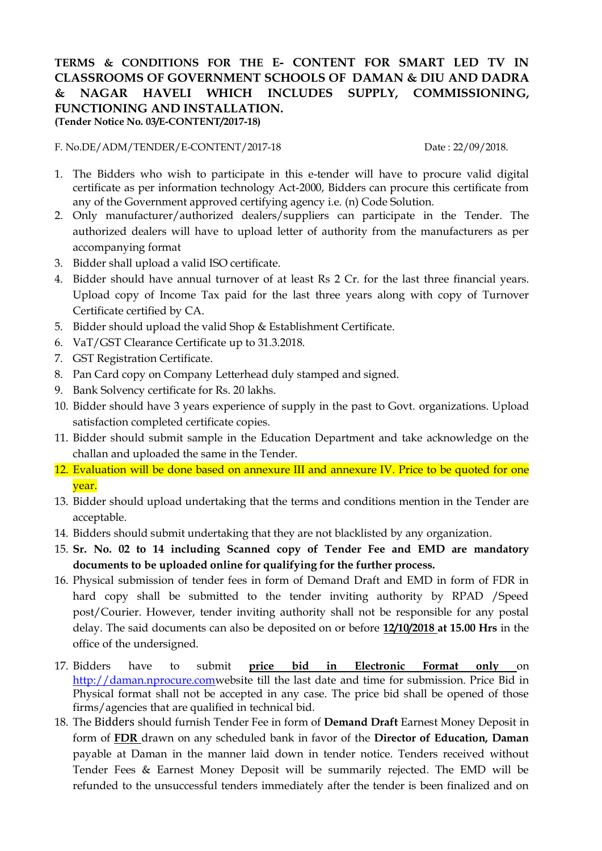## **TERMS & CONDITIONS FOR THE E- CONTENT FOR SMART LED TV IN CLASSROOMS OF GOVERNMENT SCHOOLS OF DAMAN & DIU AND DADRA & NAGAR HAVELI WHICH INCLUDES SUPPLY, COMMISSIONING, FUNCTIONING AND INSTALLATION. (Tender Notice No. 03/E-CONTENT/2017-18)**

F. No.DE/ADM/TENDER/E-CONTENT/2017-18 Date : 22/09/2018.

- 1. The Bidders who wish to participate in this e-tender will have to procure valid digital certificate as per information technology Act-2000, Bidders can procure this certificate from any of the Government approved certifying agency i.e. (n) Code Solution.
- 2. Only manufacturer/authorized dealers/suppliers can participate in the Tender. The authorized dealers will have to upload letter of authority from the manufacturers as per accompanying format
- 3. Bidder shall upload a valid ISO certificate.
- 4. Bidder should have annual turnover of at least Rs 2 Cr. for the last three financial years. Upload copy of Income Tax paid for the last three years along with copy of Turnover Certificate certified by CA.
- 5. Bidder should upload the valid Shop & Establishment Certificate.
- 6. VaT/GST Clearance Certificate up to 31.3.2018.
- 7. GST Registration Certificate.
- 8. Pan Card copy on Company Letterhead duly stamped and signed.
- 9. Bank Solvency certificate for Rs. 20 lakhs.
- 10. Bidder should have 3 years experience of supply in the past to Govt. organizations. Upload satisfaction completed certificate copies.
- 11. Bidder should submit sample in the Education Department and take acknowledge on the challan and uploaded the same in the Tender.
- 12. Evaluation will be done based on annexure III and annexure IV. Price to be quoted for one year.
- 13. Bidder should upload undertaking that the terms and conditions mention in the Tender are acceptable.
- 14. Bidders should submit undertaking that they are not blacklisted by any organization.
- 15. **Sr. No. 02 to 14 including Scanned copy of Tender Fee and EMD are mandatory documents to be uploaded online for qualifying for the further process.**
- 16. Physical submission of tender fees in form of Demand Draft and EMD in form of FDR in hard copy shall be submitted to the tender inviting authority by RPAD /Speed post/Courier. However, tender inviting authority shall not be responsible for any postal delay. The said documents can also be deposited on or before **12/10/2018 at 15.00 Hrs** in the office of the undersigned.
- 17. Bidders have to submit **price bid in Electronic Format only** on http://daman.nprocure.comwebsite till the last date and time for submission. Price Bid in Physical format shall not be accepted in any case. The price bid shall be opened of those firms/agencies that are qualified in technical bid.
- 18. The Bidders should furnish Tender Fee in form of **Demand Draft** Earnest Money Deposit in form of **FDR** drawn on any scheduled bank in favor of the **Director of Education, Daman** payable at Daman in the manner laid down in tender notice. Tenders received without Tender Fees & Earnest Money Deposit will be summarily rejected. The EMD will be refunded to the unsuccessful tenders immediately after the tender is been finalized and on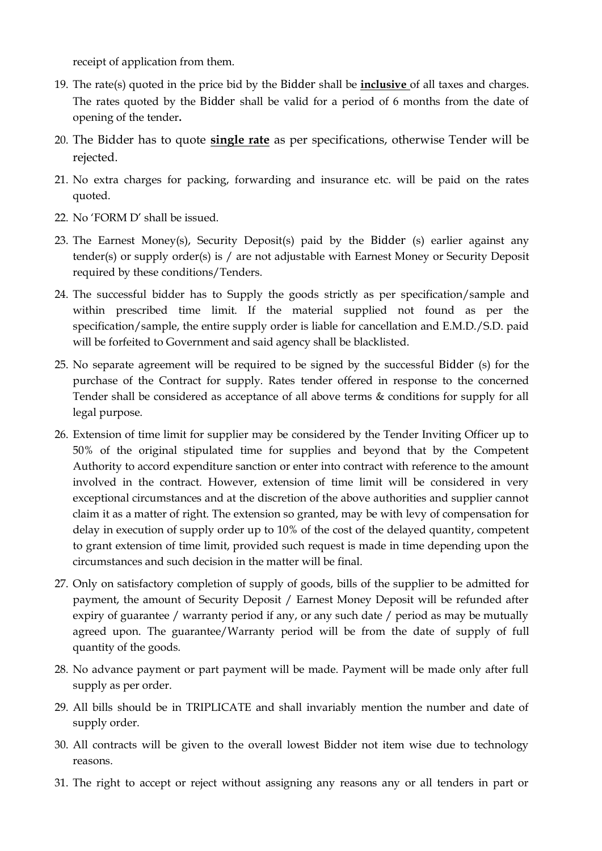receipt of application from them.

- 19. The rate(s) quoted in the price bid by the Bidder shall be **inclusive** of all taxes and charges. The rates quoted by the Bidder shall be valid for a period of 6 months from the date of opening of the tender**.**
- 20. The Bidder has to quote **single rate** as per specifications, otherwise Tender will be rejected.
- 21. No extra charges for packing, forwarding and insurance etc. will be paid on the rates quoted.
- 22. No 'FORM D' shall be issued.
- 23. The Earnest Money(s), Security Deposit(s) paid by the Bidder (s) earlier against any tender(s) or supply order(s) is / are not adjustable with Earnest Money or Security Deposit required by these conditions/Tenders.
- 24. The successful bidder has to Supply the goods strictly as per specification/sample and within prescribed time limit. If the material supplied not found as per the specification/sample, the entire supply order is liable for cancellation and E.M.D./S.D. paid will be forfeited to Government and said agency shall be blacklisted.
- 25. No separate agreement will be required to be signed by the successful Bidder (s) for the purchase of the Contract for supply. Rates tender offered in response to the concerned Tender shall be considered as acceptance of all above terms & conditions for supply for all legal purpose.
- 26. Extension of time limit for supplier may be considered by the Tender Inviting Officer up to 50% of the original stipulated time for supplies and beyond that by the Competent Authority to accord expenditure sanction or enter into contract with reference to the amount involved in the contract. However, extension of time limit will be considered in very exceptional circumstances and at the discretion of the above authorities and supplier cannot claim it as a matter of right. The extension so granted, may be with levy of compensation for delay in execution of supply order up to 10% of the cost of the delayed quantity, competent to grant extension of time limit, provided such request is made in time depending upon the circumstances and such decision in the matter will be final.
- 27. Only on satisfactory completion of supply of goods, bills of the supplier to be admitted for payment, the amount of Security Deposit / Earnest Money Deposit will be refunded after expiry of guarantee / warranty period if any, or any such date / period as may be mutually agreed upon. The guarantee/Warranty period will be from the date of supply of full quantity of the goods.
- 28. No advance payment or part payment will be made. Payment will be made only after full supply as per order.
- 29. All bills should be in TRIPLICATE and shall invariably mention the number and date of supply order.
- 30. All contracts will be given to the overall lowest Bidder not item wise due to technology reasons.
- 31. The right to accept or reject without assigning any reasons any or all tenders in part or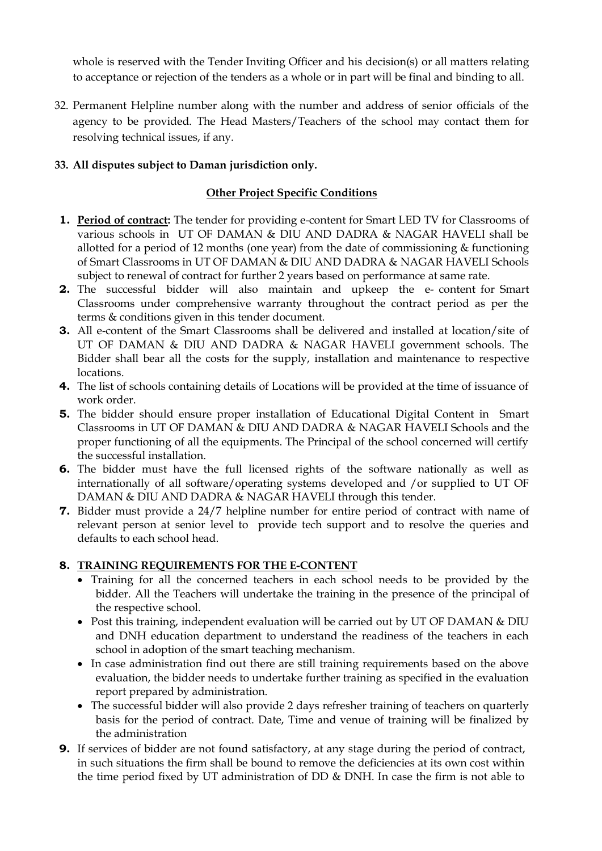whole is reserved with the Tender Inviting Officer and his decision(s) or all matters relating to acceptance or rejection of the tenders as a whole or in part will be final and binding to all.

32. Permanent Helpline number along with the number and address of senior officials of the agency to be provided. The Head Masters/Teachers of the school may contact them for resolving technical issues, if any.

# **33. All disputes subject to Daman jurisdiction only.**

# **Other Project Specific Conditions**

- **1. Period of contract:** The tender for providing e-content for Smart LED TV for Classrooms of various schools in UT OF DAMAN & DIU AND DADRA & NAGAR HAVELI shall be allotted for a period of 12 months (one year) from the date of commissioning & functioning of Smart Classrooms in UT OF DAMAN & DIU AND DADRA & NAGAR HAVELI Schools subject to renewal of contract for further 2 years based on performance at same rate.
- **2.** The successful bidder will also maintain and upkeep the e- content for Smart Classrooms under comprehensive warranty throughout the contract period as per the terms & conditions given in this tender document.
- **3.** All e-content of the Smart Classrooms shall be delivered and installed at location/site of UT OF DAMAN & DIU AND DADRA & NAGAR HAVELI government schools. The Bidder shall bear all the costs for the supply, installation and maintenance to respective locations.
- **4.** The list of schools containing details of Locations will be provided at the time of issuance of work order.
- **5.** The bidder should ensure proper installation of Educational Digital Content in Smart Classrooms in UT OF DAMAN & DIU AND DADRA & NAGAR HAVELI Schools and the proper functioning of all the equipments. The Principal of the school concerned will certify the successful installation.
- **6.** The bidder must have the full licensed rights of the software nationally as well as internationally of all software/operating systems developed and /or supplied to UT OF DAMAN & DIU AND DADRA & NAGAR HAVELI through this tender.
- **7.** Bidder must provide a 24/7 helpline number for entire period of contract with name of relevant person at senior level to provide tech support and to resolve the queries and defaults to each school head.

## **8. TRAINING REQUIREMENTS FOR THE E-CONTENT**

- Training for all the concerned teachers in each school needs to be provided by the bidder. All the Teachers will undertake the training in the presence of the principal of the respective school.
- Post this training, independent evaluation will be carried out by UT OF DAMAN & DIU and DNH education department to understand the readiness of the teachers in each school in adoption of the smart teaching mechanism.
- In case administration find out there are still training requirements based on the above evaluation, the bidder needs to undertake further training as specified in the evaluation report prepared by administration.
- The successful bidder will also provide 2 days refresher training of teachers on quarterly basis for the period of contract. Date, Time and venue of training will be finalized by the administration
- **9.** If services of bidder are not found satisfactory, at any stage during the period of contract, in such situations the firm shall be bound to remove the deficiencies at its own cost within the time period fixed by UT administration of DD & DNH. In case the firm is not able to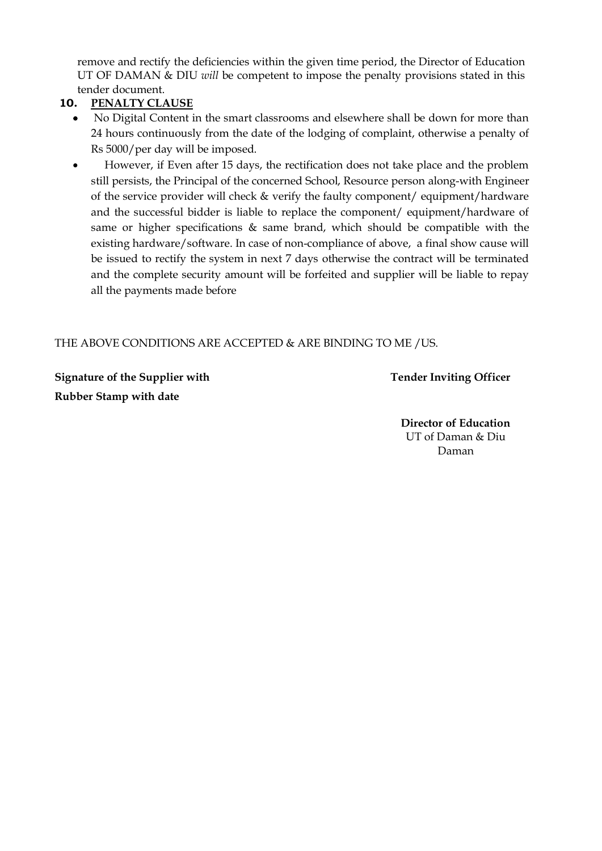remove and rectify the deficiencies within the given time period, the Director of Education UT OF DAMAN & DIU *will* be competent to impose the penalty provisions stated in this tender document.

# **10. PENALTY CLAUSE**

- No Digital Content in the smart classrooms and elsewhere shall be down for more than 24 hours continuously from the date of the lodging of complaint, otherwise a penalty of Rs 5000/per day will be imposed.
- However, if Even after 15 days, the rectification does not take place and the problem still persists, the Principal of the concerned School, Resource person along-with Engineer of the service provider will check & verify the faulty component/ equipment/hardware and the successful bidder is liable to replace the component/ equipment/hardware of same or higher specifications & same brand, which should be compatible with the existing hardware/software. In case of non-compliance of above, a final show cause will be issued to rectify the system in next 7 days otherwise the contract will be terminated and the complete security amount will be forfeited and supplier will be liable to repay all the payments made before

# THE ABOVE CONDITIONS ARE ACCEPTED & ARE BINDING TO ME /US.

**Signature of the Supplier with Tender Inviting Officer Rubber Stamp with date**

**Director of Education** UT of Daman & Diu Daman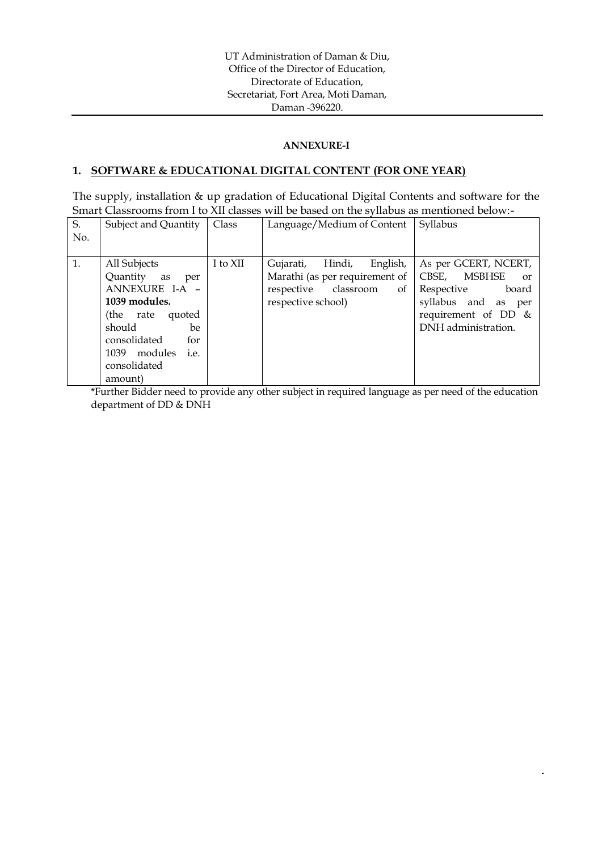#### **ANNEXURE-I**

#### **1. SOFTWARE & EDUCATIONAL DIGITAL CONTENT (FOR ONE YEAR)**

The supply, installation & up gradation of Educational Digital Contents and software for the Smart Classrooms from I to XII classes will be based on the syllabus as mentioned below:-

| S.<br>No. | Subject and Quantity                                                                                                                                                                    | Class    | Language/Medium of Content                                                                                            | Syllabus                                                                                                                                                    |
|-----------|-----------------------------------------------------------------------------------------------------------------------------------------------------------------------------------------|----------|-----------------------------------------------------------------------------------------------------------------------|-------------------------------------------------------------------------------------------------------------------------------------------------------------|
| 1.        | All Subjects<br>Quantity as<br>per<br>ANNEXURE I-A -<br>1039 modules.<br>(the rate quoted<br>should<br>be.<br>consolidated<br>for<br>modules<br>1039<br>i.e.<br>consolidated<br>amount) | I to XII | English,<br>Hindi,<br>Gujarati,<br>Marathi (as per requirement of<br>respective classroom<br>of<br>respective school) | As per GCERT, NCERT,<br><b>MSBHSE</b><br>CBSE,<br><sub>or</sub><br>Respective<br>board<br>syllabus and as per<br>requirement of DD &<br>DNH administration. |

\*Further Bidder need to provide any other subject in required language as per need of the education department of DD & DNH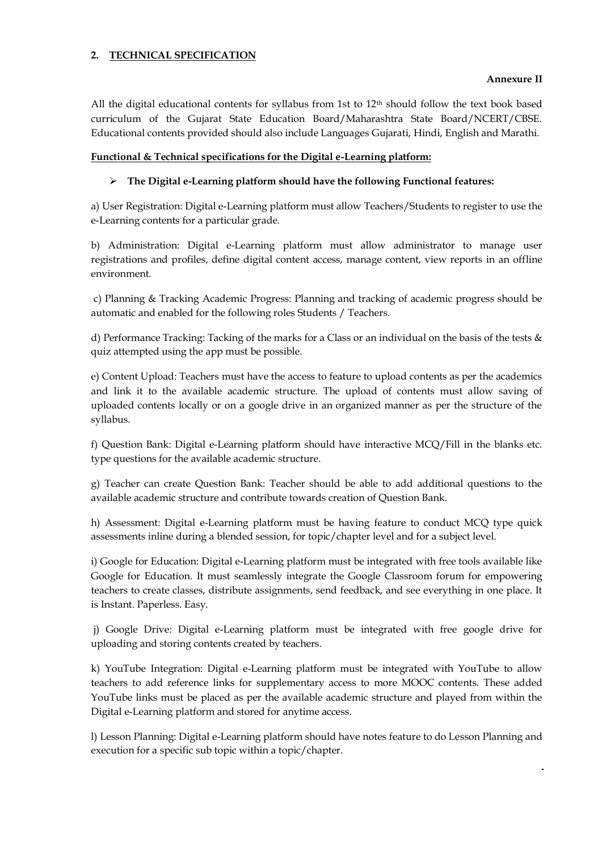#### **2. TECHNICAL SPECIFICATION**

#### **Annexure II**

All the digital educational contents for syllabus from 1st to 12<sup>th</sup> should follow the text book based curriculum of the Gujarat State Education Board/Maharashtra State Board/NCERT/CBSE. Educational contents provided should also include Languages Gujarati, Hindi, English and Marathi.

#### **Functional & Technical specifications for the Digital e-Learning platform:**

#### **The Digital e-Learning platform should have the following Functional features:**

a) User Registration: Digital e-Learning platform must allow Teachers/Students to register to use the e-Learning contents for a particular grade.

b) Administration: Digital e-Learning platform must allow administrator to manage user registrations and profiles, define digital content access, manage content, view reports in an offline environment.

c) Planning & Tracking Academic Progress: Planning and tracking of academic progress should be automatic and enabled for the following roles Students / Teachers.

d) Performance Tracking: Tacking of the marks for a Class or an individual on the basis of the tests & quiz attempted using the app must be possible.

e) Content Upload: Teachers must have the access to feature to upload contents as per the academics and link it to the available academic structure. The upload of contents must allow saving of uploaded contents locally or on a google drive in an organized manner as per the structure of the syllabus.

f) Question Bank: Digital e-Learning platform should have interactive MCQ/Fill in the blanks etc. type questions for the available academic structure.

g) Teacher can create Question Bank: Teacher should be able to add additional questions to the available academic structure and contribute towards creation of Question Bank.

h) Assessment: Digital e-Learning platform must be having feature to conduct MCQ type quick assessments inline during a blended session, for topic/chapter level and for a subject level.

i) Google for Education: Digital e-Learning platform must be integrated with free tools available like Google for Education. It must seamlessly integrate the Google Classroom forum for empowering teachers to create classes, distribute assignments, send feedback, and see everything in one place. It is Instant. Paperless. Easy.

j) Google Drive: Digital e-Learning platform must be integrated with free google drive for uploading and storing contents created by teachers.

k) YouTube Integration: Digital e-Learning platform must be integrated with YouTube to allow teachers to add reference links for supplementary access to more MOOC contents. These added YouTube links must be placed as per the available academic structure and played from within the Digital e-Learning platform and stored for anytime access.

l) Lesson Planning: Digital e-Learning platform should have notes feature to do Lesson Planning and execution for a specific sub topic within a topic/chapter.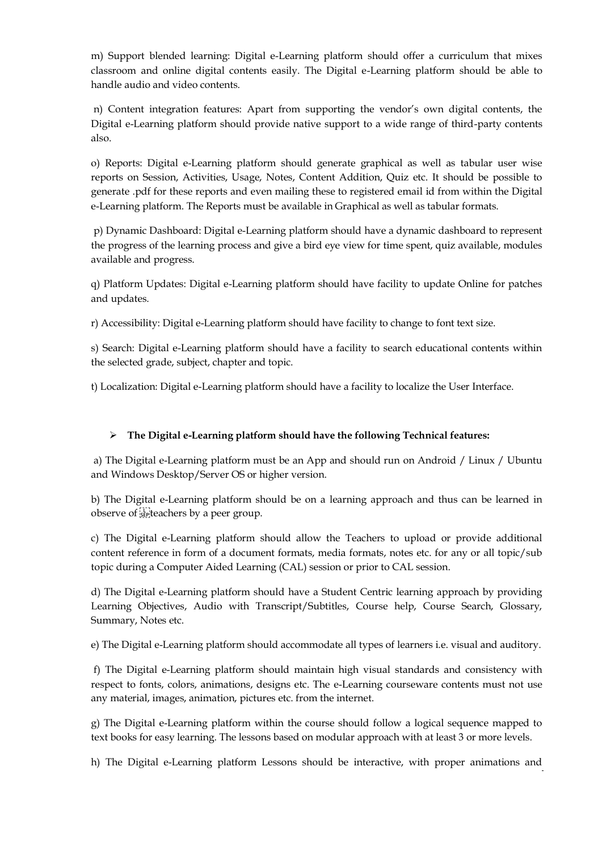m) Support blended learning: Digital e-Learning platform should offer a curriculum that mixes classroom and online digital contents easily. The Digital e-Learning platform should be able to handle audio and video contents.

n) Content integration features: Apart from supporting the vendor's own digital contents, the Digital e-Learning platform should provide native support to a wide range of third-party contents also.

o) Reports: Digital e-Learning platform should generate graphical as well as tabular user wise reports on Session, Activities, Usage, Notes, Content Addition, Quiz etc. It should be possible to generate .pdf for these reports and even mailing these to registered email id from within the Digital e-Learning platform. The Reports must be available in Graphical as well as tabular formats.

p) Dynamic Dashboard: Digital e-Learning platform should have a dynamic dashboard to represent the progress of the learning process and give a bird eye view for time spent, quiz available, modules available and progress.

q) Platform Updates: Digital e-Learning platform should have facility to update Online for patches and updates.

r) Accessibility: Digital e-Learning platform should have facility to change to font text size.

s) Search: Digital e-Learning platform should have a facility to search educational contents within the selected grade, subject, chapter and topic.

t) Localization: Digital e-Learning platform should have a facility to localize the User Interface.

#### **The Digital e-Learning platform should have the following Technical features:**

a) The Digital e-Learning platform must be an App and should run on Android / Linux / Ubuntu and Windows Desktop/Server OS or higher version.

b) The Digital e-Learning platform should be on a learning approach and thus can be learned in observe of seglecters by a peer group.

c) The Digital e-Learning platform should allow the Teachers to upload or provide additional content reference in form of a document formats, media formats, notes etc. for any or all topic/sub topic during a Computer Aided Learning (CAL) session or prior to CAL session.

d) The Digital e-Learning platform should have a Student Centric learning approach by providing Learning Objectives, Audio with Transcript/Subtitles, Course help, Course Search, Glossary, Summary, Notes etc.

e) The Digital e-Learning platform should accommodate all types of learners i.e. visual and auditory.

f) The Digital e-Learning platform should maintain high visual standards and consistency with respect to fonts, colors, animations, designs etc. The e-Learning courseware contents must not use any material, images, animation, pictures etc. from the internet.

g) The Digital e-Learning platform within the course should follow a logical sequence mapped to text books for easy learning. The lessons based on modular approach with at least 3 or more levels.

h) The Digital e-Learning platform Lessons should be interactive, with proper animations and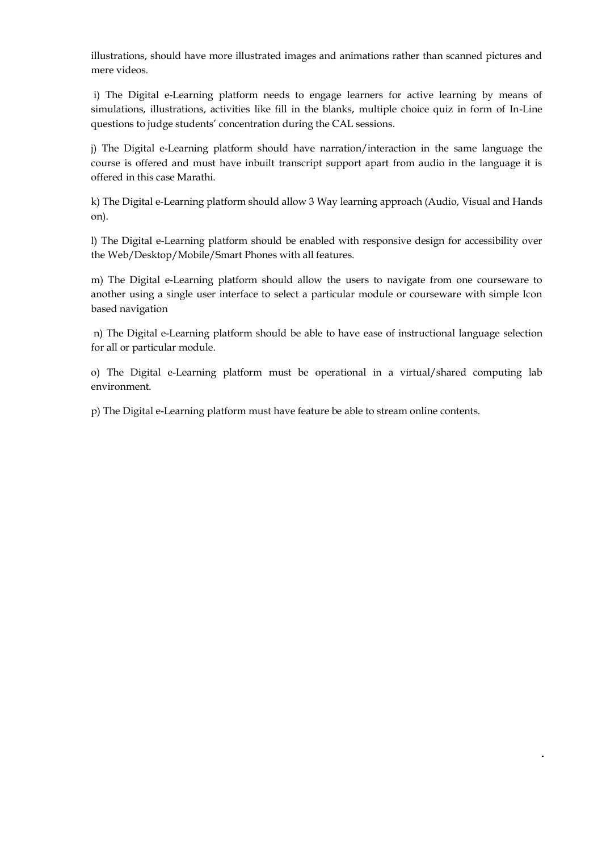illustrations, should have more illustrated images and animations rather than scanned pictures and mere videos.

i) The Digital e-Learning platform needs to engage learners for active learning by means of simulations, illustrations, activities like fill in the blanks, multiple choice quiz in form of In-Line questions to judge students' concentration during the CAL sessions.

j) The Digital e-Learning platform should have narration/interaction in the same language the course is offered and must have inbuilt transcript support apart from audio in the language it is offered in this case Marathi.

k) The Digital e-Learning platform should allow 3 Way learning approach (Audio, Visual and Hands on).

l) The Digital e-Learning platform should be enabled with responsive design for accessibility over the Web/Desktop/Mobile/Smart Phones with all features.

m) The Digital e-Learning platform should allow the users to navigate from one courseware to another using a single user interface to select a particular module or courseware with simple Icon based navigation

n) The Digital e-Learning platform should be able to have ease of instructional language selection for all or particular module.

o) The Digital e-Learning platform must be operational in a virtual/shared computing lab environment.

p) The Digital e-Learning platform must have feature be able to stream online contents.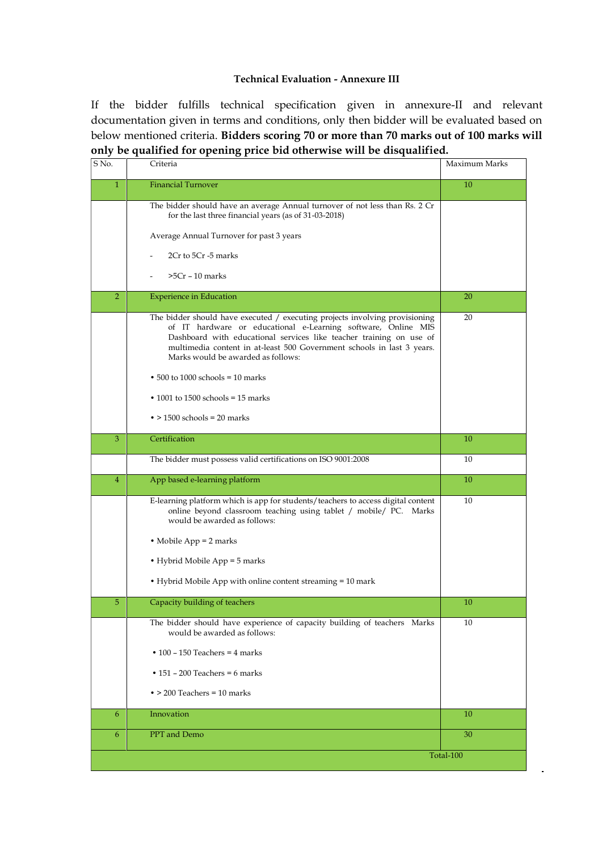## **Technical Evaluation - Annexure III**

If the bidder fulfills technical specification given in annexure-II and relevant documentation given in terms and conditions, only then bidder will be evaluated based on below mentioned criteria. **Bidders scoring 70 or more than 70 marks out of 100 marks will only be qualified for opening price bid otherwise will be disqualified.**

| S No.          | Criteria                                                                                                                                                                                                                                                                                                                            | Maximum Marks |
|----------------|-------------------------------------------------------------------------------------------------------------------------------------------------------------------------------------------------------------------------------------------------------------------------------------------------------------------------------------|---------------|
| $\mathbf{1}$   | <b>Financial Turnover</b>                                                                                                                                                                                                                                                                                                           | 10            |
|                | The bidder should have an average Annual turnover of not less than Rs. 2 Cr<br>for the last three financial years (as of 31-03-2018)                                                                                                                                                                                                |               |
|                | Average Annual Turnover for past 3 years                                                                                                                                                                                                                                                                                            |               |
|                | 2Cr to 5Cr -5 marks                                                                                                                                                                                                                                                                                                                 |               |
|                | $>5Cr - 10$ marks                                                                                                                                                                                                                                                                                                                   |               |
| $\overline{2}$ | <b>Experience in Education</b>                                                                                                                                                                                                                                                                                                      | 20            |
|                | The bidder should have executed / executing projects involving provisioning<br>of IT hardware or educational e-Learning software, Online MIS<br>Dashboard with educational services like teacher training on use of<br>multimedia content in at-least 500 Government schools in last 3 years.<br>Marks would be awarded as follows: | 20            |
|                | $\bullet$ 500 to 1000 schools = 10 marks                                                                                                                                                                                                                                                                                            |               |
|                | $\cdot$ 1001 to 1500 schools = 15 marks                                                                                                                                                                                                                                                                                             |               |
|                | $\bullet$ > 1500 schools = 20 marks                                                                                                                                                                                                                                                                                                 |               |
| 3              | Certification                                                                                                                                                                                                                                                                                                                       | 10            |
|                | The bidder must possess valid certifications on ISO 9001:2008                                                                                                                                                                                                                                                                       | 10            |
| 4              | App based e-learning platform                                                                                                                                                                                                                                                                                                       | 10            |
|                | E-learning platform which is app for students/teachers to access digital content<br>online beyond classroom teaching using tablet / mobile/ PC. Marks<br>would be awarded as follows:                                                                                                                                               | 10            |
|                | • Mobile App $= 2$ marks                                                                                                                                                                                                                                                                                                            |               |
|                | • Hybrid Mobile App = 5 marks                                                                                                                                                                                                                                                                                                       |               |
|                | • Hybrid Mobile App with online content streaming = 10 mark                                                                                                                                                                                                                                                                         |               |
| 5              | Capacity building of teachers                                                                                                                                                                                                                                                                                                       | 10            |
|                | The bidder should have experience of capacity building of teachers Marks<br>would be awarded as follows:                                                                                                                                                                                                                            | 10            |
|                | $\cdot$ 100 - 150 Teachers = 4 marks                                                                                                                                                                                                                                                                                                |               |
|                | • $151 - 200$ Teachers = 6 marks                                                                                                                                                                                                                                                                                                    |               |
|                | $\bullet$ > 200 Teachers = 10 marks                                                                                                                                                                                                                                                                                                 |               |
| 6              | Innovation                                                                                                                                                                                                                                                                                                                          | 10            |
| 6              | PPT and Demo                                                                                                                                                                                                                                                                                                                        | 30            |
|                |                                                                                                                                                                                                                                                                                                                                     | Total-100     |

 $\overline{\phantom{a}}$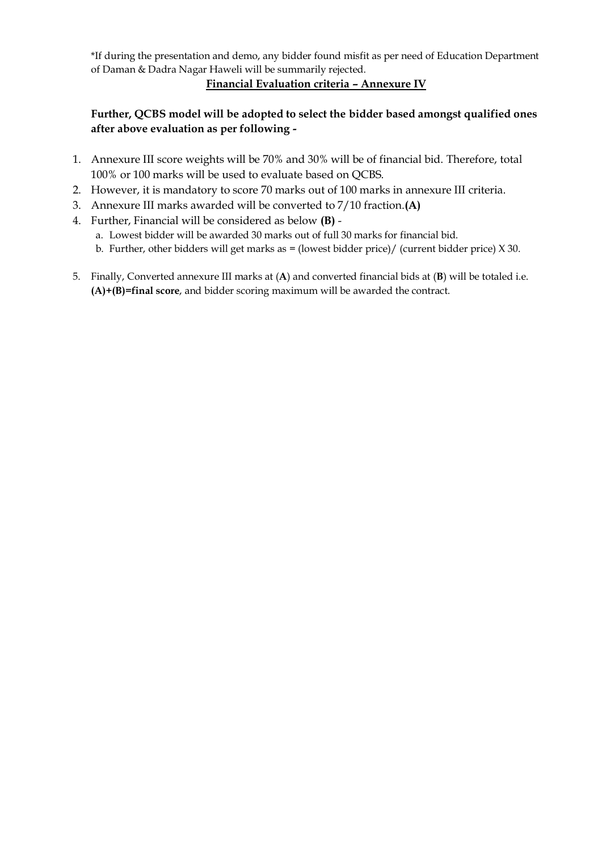\*If during the presentation and demo, any bidder found misfit as per need of Education Department of Daman & Dadra Nagar Haweli will be summarily rejected.

## **Financial Evaluation criteria – Annexure IV**

# **Further, QCBS model will be adopted to select the bidder based amongst qualified ones after above evaluation as per following -**

- 1. Annexure III score weights will be 70% and 30% will be of financial bid. Therefore, total 100% or 100 marks will be used to evaluate based on QCBS.
- 2. However, it is mandatory to score 70 marks out of 100 marks in annexure III criteria.
- 3. Annexure III marks awarded will be converted to 7/10 fraction.**(A)**
- 4. Further, Financial will be considered as below **(B)**
	- a. Lowest bidder will be awarded 30 marks out of full 30 marks for financial bid.
	- b. Further, other bidders will get marks as  $=$  (lowest bidder price)/ (current bidder price)  $X$  30.
- 5. Finally, Converted annexure III marks at (**A**) and converted financial bids at (**B**) will be totaled i.e. **(A)+(B)=final score**, and bidder scoring maximum will be awarded the contract.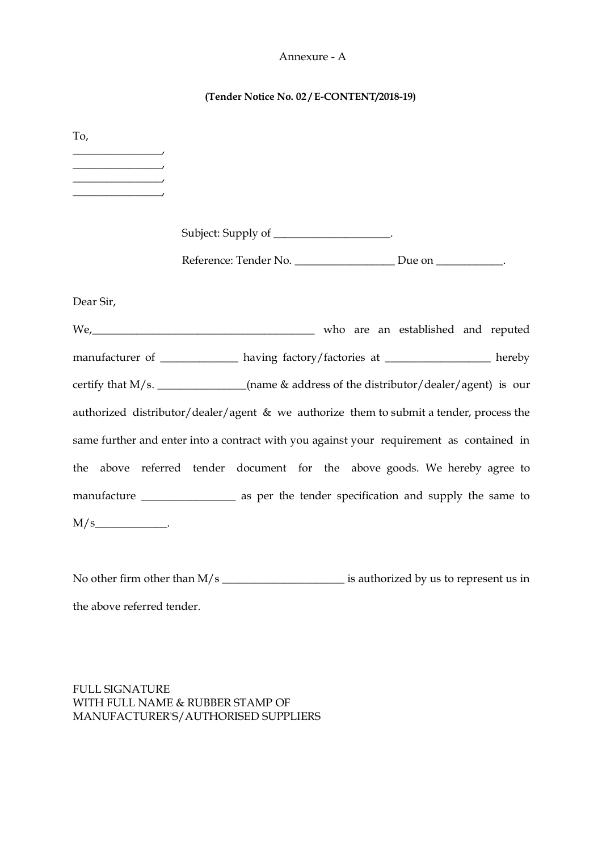#### Annexure - A

#### **(Tender Notice No. 02 / E-CONTENT/2018-19)**

To,  $\overline{\phantom{a}}$ \_\_\_\_\_\_\_\_\_\_\_\_\_\_\_\_,  $\overline{\phantom{a}}$  $\overline{\phantom{a}}$ Subject: Supply of \_\_\_\_\_\_\_\_\_\_\_\_\_\_\_\_\_\_\_\_. Reference: Tender No. \_\_\_\_\_\_\_\_\_\_\_\_\_\_\_\_\_\_\_\_ Due on \_\_\_\_\_\_\_\_\_\_\_\_. Dear Sir, We, who are an established and reputed manufacturer of \_\_\_\_\_\_\_\_\_\_\_\_\_\_ having factory/factories at \_\_\_\_\_\_\_\_\_\_\_\_\_\_\_\_\_\_\_\_ hereby certify that M/s. \_\_\_\_\_\_\_\_\_\_\_\_\_(name & address of the distributor/dealer/agent) is our authorized distributor/dealer/agent & we authorize them to submit a tender, process the same further and enter into a contract with you against your requirement as contained in the above referred tender document for the above goods. We hereby agree to manufacture \_\_\_\_\_\_\_\_\_\_\_\_\_\_\_\_\_\_ as per the tender specification and supply the same to  $M/s$   $\qquad \qquad$ 

No other firm other than  $M/s$   $\qquad \qquad$  is authorized by us to represent us in the above referred tender.

FULL SIGNATURE WITH FULL NAME & RUBBER STAMP OF MANUFACTURER'S/AUTHORISED SUPPLIERS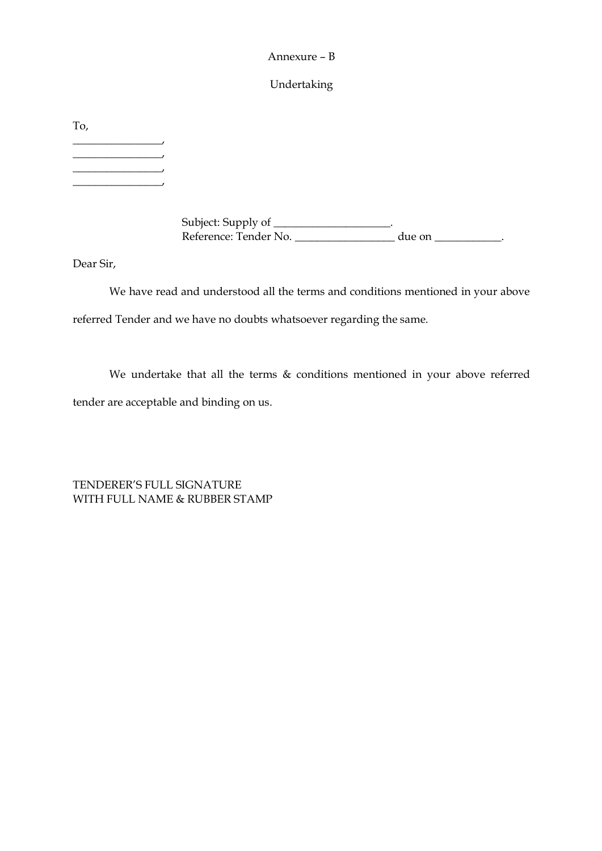#### Annexure – B

## Undertaking

To,  $\overline{\phantom{a}}$  $\overline{\phantom{a}}$  $\overline{\phantom{a}}$  $\overline{\phantom{a}}$ 

> Subject: Supply of \_\_\_\_\_\_\_\_\_\_\_\_\_\_\_\_\_\_\_\_\_. Reference: Tender No. \_\_\_\_\_\_\_\_\_\_\_\_\_\_\_\_\_\_\_\_ due on \_\_\_\_\_\_\_\_\_\_\_\_\_.

Dear Sir,

We have read and understood all the terms and conditions mentioned in your above referred Tender and we have no doubts whatsoever regarding the same.

We undertake that all the terms & conditions mentioned in your above referred tender are acceptable and binding on us.

TENDERER'S FULL SIGNATURE WITH FULL NAME & RUBBER STAMP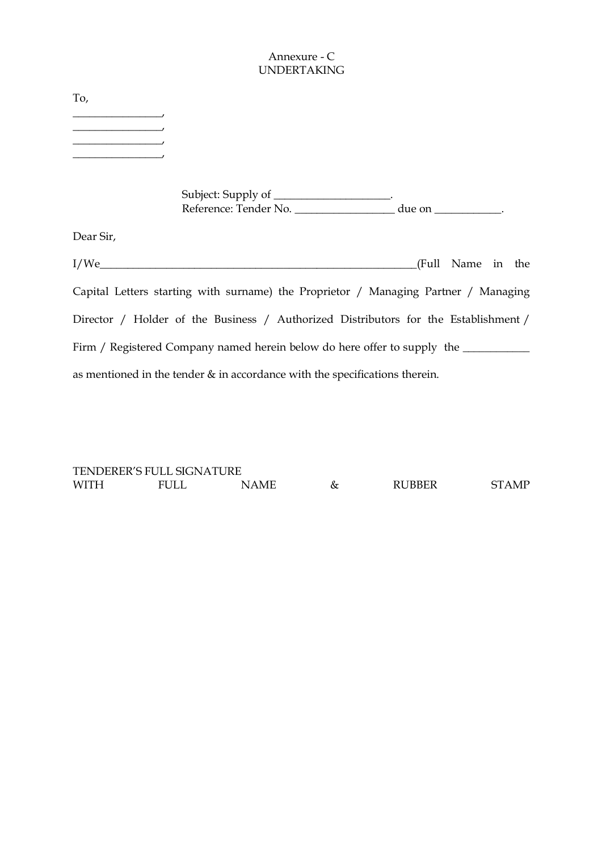## Annexure - C UNDERTAKING

| To,       |                                                                                                                                                                                                                                                                           |                   |  |
|-----------|---------------------------------------------------------------------------------------------------------------------------------------------------------------------------------------------------------------------------------------------------------------------------|-------------------|--|
|           |                                                                                                                                                                                                                                                                           |                   |  |
|           | Subject: Supply of ___________________.<br>Reference: Tender No. by due on the contract of the contract of the contract of the contract of the contract of the contract of the contract of the contract of the contract of the contract of the contract of the contract o |                   |  |
| Dear Sir, |                                                                                                                                                                                                                                                                           |                   |  |
|           | I/We                                                                                                                                                                                                                                                                      | (Full Name in the |  |
|           | Capital Letters starting with surname) the Proprietor / Managing Partner / Managing                                                                                                                                                                                       |                   |  |

Director / Holder of the Business / Authorized Distributors for the Establishment / Firm / Registered Company named herein below do here offer to supply the \_\_\_\_\_\_\_\_\_\_\_\_ as mentioned in the tender & in accordance with the specifications therein.

TENDERER'S FULL SIGNATURE WITH FULL NAME & RUBBER STAMP